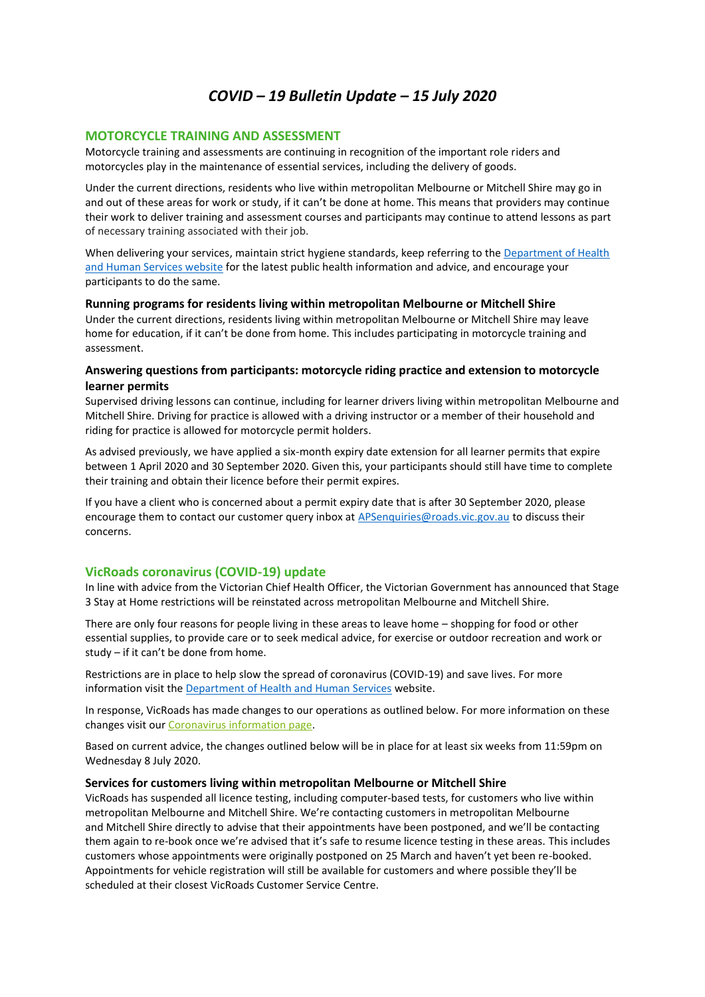# *COVID – 19 Bulletin Update – 15 July 2020*

# **MOTORCYCLE TRAINING AND ASSESSMENT**

Motorcycle training and assessments are continuing in recognition of the important role riders and motorcycles play in the maintenance of essential services, including the delivery of goods.

Under the current directions, residents who live within metropolitan Melbourne or Mitchell Shire may go in and out of these areas for work or study, if it can't be done at home. This means that providers may continue their work to deliver training and assessment courses and participants may continue to attend lessons as part of necessary training associated with their job.

When delivering your services, maintain strict hygiene standards, keep referring to the Department of Health and Human Services website for the latest public health information and advice, and encourage your participants to do the same.

# **Running programs for residents living within metropolitan Melbourne or Mitchell Shire**

Under the current directions, residents living within metropolitan Melbourne or Mitchell Shire may leave home for education, if it can't be done from home. This includes participating in motorcycle training and assessment.

# **Answering questions from participants: motorcycle riding practice and extension to motorcycle learner permits**

Supervised driving lessons can continue, including for learner drivers living within metropolitan Melbourne and Mitchell Shire. Driving for practice is allowed with a driving instructor or a member of their household and riding for practice is allowed for motorcycle permit holders.

As advised previously, we have applied a six-month expiry date extension for all learner permits that expire between 1 April 2020 and 30 September 2020. Given this, your participants should still have time to complete their training and obtain their licence before their permit expires.

If you have a client who is concerned about a permit expiry date that is after 30 September 2020, please encourage them to contact our customer query inbox at APSenquiries@roads.vic.gov.au to discuss their concerns.

# **VicRoads coronavirus (COVID-19) update**

In line with advice from the Victorian Chief Health Officer, the Victorian Government has announced that Stage 3 Stay at Home restrictions will be reinstated across metropolitan Melbourne and Mitchell Shire.

There are only four reasons for people living in these areas to leave home – shopping for food or other essential supplies, to provide care or to seek medical advice, for exercise or outdoor recreation and work or study – if it can't be done from home.

Restrictions are in place to help slow the spread of coronavirus (COVID-19) and save lives. For more information visit the Department of Health and Human Services website.

In response, VicRoads has made changes to our operations as outlined below. For more information on these changes visit our Coronavirus information page.

Based on current advice, the changes outlined below will be in place for at least six weeks from 11:59pm on Wednesday 8 July 2020.

## **Services for customers living within metropolitan Melbourne or Mitchell Shire**

VicRoads has suspended all licence testing, including computer-based tests, for customers who live within metropolitan Melbourne and Mitchell Shire. We're contacting customers in metropolitan Melbourne and Mitchell Shire directly to advise that their appointments have been postponed, and we'll be contacting them again to re-book once we're advised that it's safe to resume licence testing in these areas. This includes customers whose appointments were originally postponed on 25 March and haven't yet been re-booked. Appointments for vehicle registration will still be available for customers and where possible they'll be scheduled at their closest VicRoads Customer Service Centre.